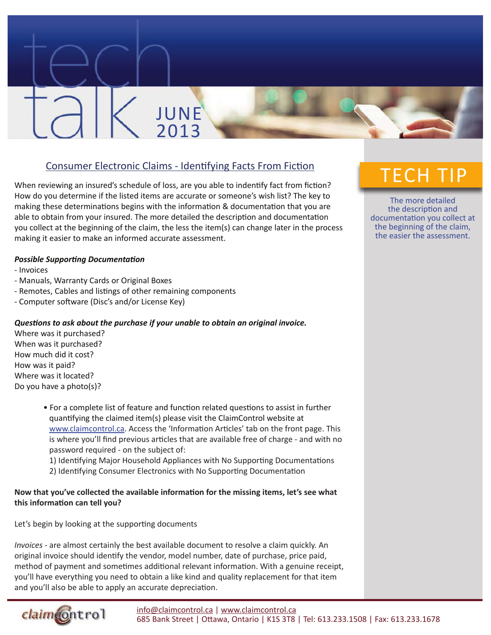# Consumer Electronic Claims - Identifying Facts From Fiction

JUNE

2013

When reviewing an insured's schedule of loss, are you able to indentify fact from fiction? How do you determine if the listed items are accurate or someone's wish list? The key to making these determinations begins with the information & documentation that you are able to obtain from your insured. The more detailed the description and documentation you collect at the beginning of the claim, the less the item(s) can change later in the process making it easier to make an informed accurate assessment.

## *Possible Supporting Documentation*

- Invoices
- Manuals, Warranty Cards or Original Boxes
- Remotes, Cables and listings of other remaining components
- Computer software (Disc's and/or License Key)

## *Questions to ask about the purchase if your unable to obtain an original invoice.*

Where was it purchased? When was it purchased? How much did it cost? How was it paid? Where was it located? Do you have a photo(s)?

claimcontrol

- For a complete list of feature and function related questions to assist in further quantifying the claimed item(s) please visit the ClaimControl website at www.claimcontrol.ca. Access the 'Information Articles' tab on the front page. This is where you'll find previous articles that are available free of charge - and with no password required - on the subject of:
- 1) Identifying Major Household Appliances with No Supporting Documentations
- 2) Identifying Consumer Electronics with No Supporting Documentation

# **Now that you've collected the available information for the missing items, let's see what this information can tell you?**

Let's begin by looking at the supporting documents

*Invoices -* are almost certainly the best available document to resolve a claim quickly. An original invoice should identify the vendor, model number, date of purchase, price paid, method of payment and sometimes additional relevant information. With a genuine receipt, you'll have everything you need to obtain a like kind and quality replacement for that item and you'll also be able to apply an accurate depreciation.



The more detailed the description and documentation you collect at the beginning of the claim, the easier the assessment.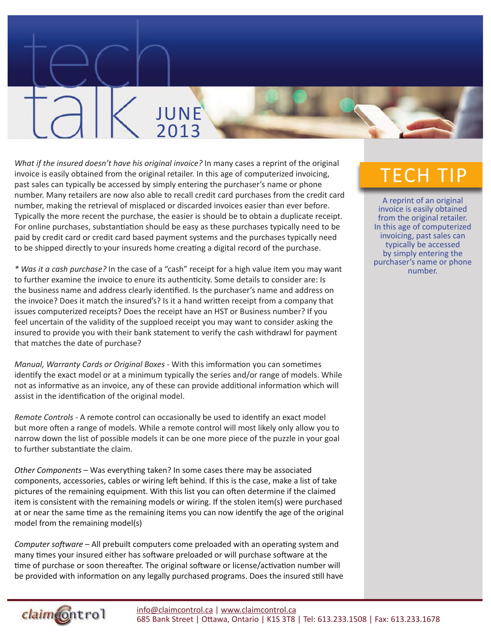# *What if the insured doesn't have his original invoice?* In many cases a reprint of the original invoice is easily obtained from the original retailer. In this age of computerized invoicing, past sales can typically be accessed by simply entering the purchaser's name or phone number. Many retailers are now also able to recall credit card purchases from the credit card number, making the retrieval of misplaced or discarded invoices easier than ever before. Typically the more recent the purchase, the easier is should be to obtain a duplicate receipt. For online purchases, substantiation should be easy as these purchases typically need to be paid by credit card or credit card based payment systems and the purchases typically need to be shipped directly to your insureds home creating a digital record of the purchase.

JUNE

2013

*\* Was it a cash purchase?* In the case of a "cash" receipt for a high value item you may want to further examine the invoice to enure its authenticity. Some details to consider are: Is the business name and address clearly identified. Is the purchaser's name and address on the invoice? Does it match the insured's? Is it a hand written receipt from a company that issues computerized receipts? Does the receipt have an HST or Business number? If you feel uncertain of the validity of the supploed receipt you may want to consider asking the insured to provide you with their bank statement to verify the cash withdrawl for payment that matches the date of purchase?

*Manual, Warranty Cards or Original Boxes -* With this imformation you can sometimes identify the exact model or at a minimum typically the series and/or range of models. While not as informative as an invoice, any of these can provide additional information which will assist in the identification of the original model.

*Remote Controls -* A remote control can occasionally be used to identify an exact model but more often a range of models. While a remote control will most likely only allow you to narrow down the list of possible models it can be one more piece of the puzzle in your goal to further substantiate the claim.

*Other Components* – Was everything taken? In some cases there may be associated components, accessories, cables or wiring left behind. If this is the case, make a list of take pictures of the remaining equipment. With this list you can often determine if the claimed item is consistent with the remaining models or wiring. If the stolen item(s) were purchased at or near the same time as the remaining items you can now identify the age of the original model from the remaining model(s)

*Computer software* – All prebuilt computers come preloaded with an operating system and many times your insured either has software preloaded or will purchase software at the time of purchase or soon thereafter. The original software or license/activation number will be provided with information on any legally purchased programs. Does the insured still have

claimcontrol

# TECH TIP

A reprint of an original invoice is easily obtained from the original retailer. In this age of computerized invoicing, past sales can typically be accessed by simply entering the purchaser's name or phone number.